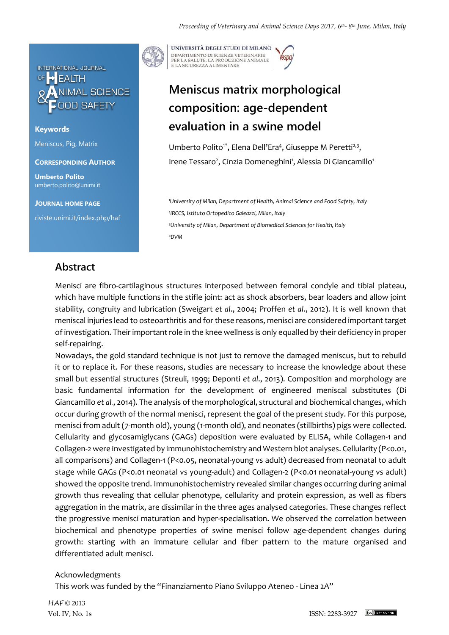

**Keywords** Meniscus, Pig, Matrix

**CORRESPONDING AUTHOR**

**Umberto Polito** umberto.polito@unimi.it

#### **JOURNAL HOME PAGE**

riviste.unimi.it/index.php/haf

UNIVERSITÀ DEGLI STUDI DI MILANO DIPARTIMENTO DI SCIENZE VETERINARIE PER LA SALUTE, LA PRODUZIONE ANIMALE<br>E LA SICUREZZA ALIMENTARE

# **Meniscus matrix morphological composition: age-dependent evaluation in a swine model**

Umberto Polito<sup>1\*</sup>, Elena Dell'Era<sup>4</sup>, Giuseppe M Peretti<sup>2,3</sup>, Irene Tessaro<sup>2</sup>, Cinzia Domeneghini<sup>1</sup>, Alessia Di Giancamillo<sup>1</sup>

*University of Milan, Department of Health, Animal Science and Food Safety, Italy IRCCS, Istituto Ortopedico Galeazzi, Milan, Italy University of Milan, Department of Biomedical Sciences for Health, Italy <sup>4</sup>DVM*

## **Abstract**

Menisci are fibro-cartilaginous structures interposed between femoral condyle and tibial plateau, which have multiple functions in the stifle joint: act as shock absorbers, bear loaders and allow joint stability, congruity and lubrication (Sweigart *et al*., 2004; Proffen *et al*., 2012). It is well known that meniscal injuries lead to osteoarthritis and for these reasons, menisci are considered important target of investigation. Their important role in the knee wellness is only equalled by their deficiency in proper self-repairing.

Nowadays, the gold standard technique is not just to remove the damaged meniscus, but to rebuild it or to replace it. For these reasons, studies are necessary to increase the knowledge about these small but essential structures (Streuli, 1999; Deponti *et al*., 2013). Composition and morphology are basic fundamental information for the development of engineered meniscal substitutes (Di Giancamillo *et al.*, 2014). The analysis of the morphological, structural and biochemical changes, which occur during growth of the normal menisci, represent the goal of the present study. For this purpose, menisci from adult (7-month old), young (1-month old), and neonates (stillbirths) pigs were collected. Cellularity and glycosamiglycans (GAGs) deposition were evaluated by ELISA, while Collagen-1 and Collagen-2 were investigated by immunohistochemistry and Western blot analyses. Cellularity (P<0.01, all comparisons) and Collagen-1 (P<0.05, neonatal-young vs adult) decreased from neonatal to adult stage while GAGs (P<0.01 neonatal vs young-adult) and Collagen-2 (P<0.01 neonatal-young vs adult) showed the opposite trend. Immunohistochemistry revealed similar changes occurring during animal growth thus revealing that cellular phenotype, cellularity and protein expression, as well as fibers aggregation in the matrix, are dissimilar in the three ages analysed categories. These changes reflect the progressive menisci maturation and hyper-specialisation. We observed the correlation between biochemical and phenotype properties of swine menisci follow age-dependent changes during growth: starting with an immature cellular and fiber pattern to the mature organised and differentiated adult menisci.

### Acknowledgments

This work was funded by the "Finanziamento Piano Sviluppo Ateneo - Linea 2A"

HAF © 2013